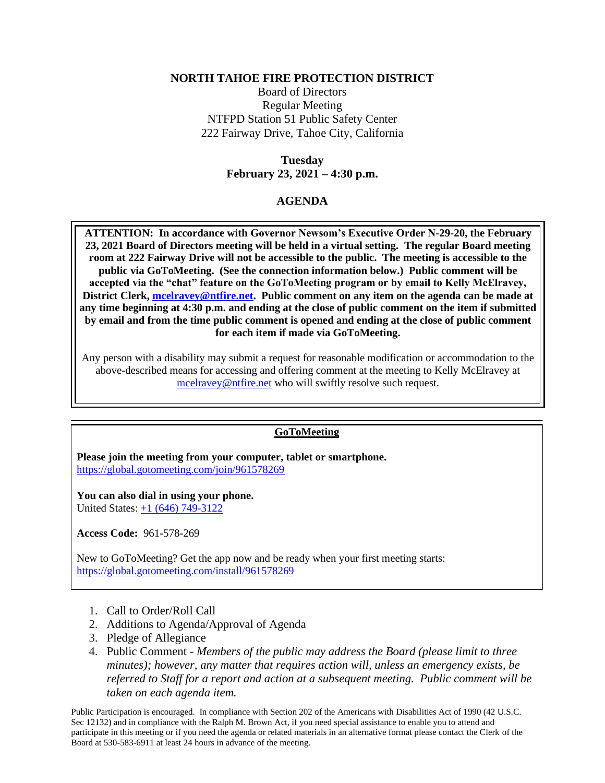## **NORTH TAHOE FIRE PROTECTION DISTRICT**

Board of Directors Regular Meeting NTFPD Station 51 Public Safety Center 222 Fairway Drive, Tahoe City, California

> **Tuesday February 23, 2021 – 4:30 p.m.**

## **AGENDA**

**ATTENTION: In accordance with Governor Newsom's Executive Order N-29-20, the February 23, 2021 Board of Directors meeting will be held in a virtual setting. The regular Board meeting room at 222 Fairway Drive will not be accessible to the public. The meeting is accessible to the public via GoToMeeting. (See the connection information below.) Public comment will be accepted via the "chat" feature on the GoToMeeting program or by email to Kelly McElravey, District Clerk, [mcelravey@ntfire.net.](mailto:mcelravey@ntfire.net) Public comment on any item on the agenda can be made at any time beginning at 4:30 p.m. and ending at the close of public comment on the item if submitted by email and from the time public comment is opened and ending at the close of public comment for each item if made via GoToMeeting.** 

Any person with a disability may submit a request for reasonable modification or accommodation to the above-described means for accessing and offering comment at the meeting to Kelly McElravey at [mcelravey@ntfire.net](mailto:mcelravey@ntfire.net) who will swiftly resolve such request.

## **GoToMeeting**

**Please join the meeting from your computer, tablet or smartphone.**  <https://global.gotomeeting.com/join/961578269>

**You can also dial in using your phone.**  United States: [+1 \(646\) 749-3122](tel:+18722403412,,330904517)

**Access Code:** 961-578-269

New to GoToMeeting? Get the app now and be ready when your first meeting starts: <https://global.gotomeeting.com/install/961578269>

- 1. Call to Order/Roll Call
- 2. Additions to Agenda/Approval of Agenda
- 3. Pledge of Allegiance
- 4. Public Comment *- Members of the public may address the Board (please limit to three minutes); however, any matter that requires action will, unless an emergency exists, be referred to Staff for a report and action at a subsequent meeting. Public comment will be taken on each agenda item.*

Public Participation is encouraged. In compliance with Section 202 of the Americans with Disabilities Act of 1990 (42 U.S.C. Sec 12132) and in compliance with the Ralph M. Brown Act, if you need special assistance to enable you to attend and participate in this meeting or if you need the agenda or related materials in an alternative format please contact the Clerk of the Board at 530-583-6911 at least 24 hours in advance of the meeting.